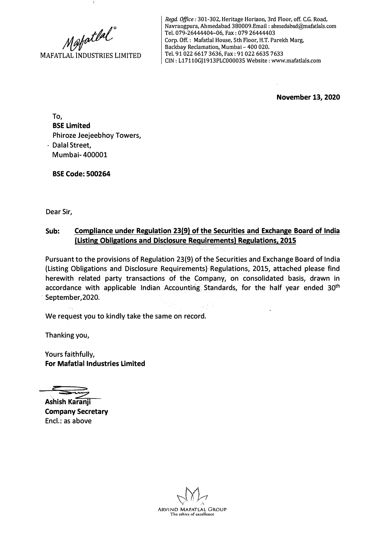Mafatlal<sup>®</sup><br>MAFATLAL INDUSTRIES LIMITED

*Regd. Office:* 301-302, Heritage Horizon, 3rd Floor, off. C.G. Road, Navrangpura, Ahmedabad 38000 9.Email : ahmedabad@mafatlals.com Tel. 079-26444404-06, Fax: 079 26444403 Corp. Off. : Mafatlal House, 5th Floor, H.T. Parekh Marg, Backbay Reclamation, Mumbai - 400 020. Tel. 91022 6617 3636, Fax: 91022 6635 7633 CJN: L17110GJ1913PLC000035 Website: www.mafatlals.com

**November 13, 2020** 

To, **BSE Limited**  Phiroze Jeejeebhoy Towers, Dalal Street, Mumbai- 400001

**BSE Code: 500264** 

Dear Sir,

## **Sub: Compliance under Regulation 23(9) of the Securities and Exchange Board of India (Listing Obligations and Disclosure Requirements) Regulations, 2015**

Pursuant to the provisions of Regulation 23(9) of the Securities and Exchange Board of India (Listing Obligations and Disclosure Requirements) Regulations, 2015, attached please find herewith related party transactions of the Company, on consolidated basis, drawn in accordance with applicable Indian Accounting Standards, for the half year ended 30<sup>th</sup> September, 2020.

We request you to kindly take the same on record.

Thanking you,

Yours faithfully, **For Mafatlal Industries Limited**

**Ashish Karanji Company Secretary**  Encl.: as above